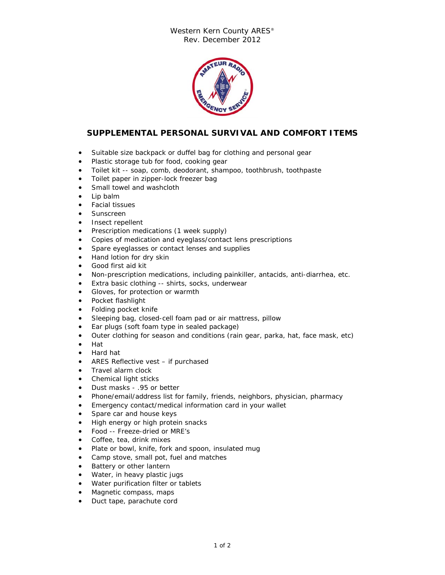## Western Kern County ARES® Rev. December 2012



## **SUPPLEMENTAL PERSONAL SURVIVAL AND COMFORT ITEMS**

- Suitable size backpack or duffel bag for clothing and personal gear
- Plastic storage tub for food, cooking gear
- Toilet kit -- soap, comb, deodorant, shampoo, toothbrush, toothpaste
- Toilet paper in zipper-lock freezer bag
- Small towel and washcloth
- Lip balm
- Facial tissues
- Sunscreen
- Insect repellent
- Prescription medications (1 week supply)
- Copies of medication and eyeglass/contact lens prescriptions
- Spare eyeglasses or contact lenses and supplies
- Hand lotion for dry skin
- Good first aid kit
- Non-prescription medications, including painkiller, antacids, anti-diarrhea, etc.
- Extra basic clothing -- shirts, socks, underwear
- Gloves, for protection or warmth
- Pocket flashlight
- Folding pocket knife
- Sleeping bag, closed-cell foam pad or air mattress, pillow
- Ear plugs (soft foam type in sealed package)
- Outer clothing for season and conditions (rain gear, parka, hat, face mask, etc)
- Hat
- Hard hat
- ARES Reflective vest if purchased
- Travel alarm clock
- Chemical light sticks
- Dust masks .95 or better
- Phone/email/address list for family, friends, neighbors, physician, pharmacy
- Emergency contact/medical information card in your wallet
- Spare car and house keys
- High energy or high protein snacks
- Food -- Freeze-dried or MRE's
- Coffee, tea, drink mixes
- Plate or bowl, knife, fork and spoon, insulated mug
- Camp stove, small pot, fuel and matches
- **Battery or other lantern**
- Water, in heavy plastic jugs
- Water purification filter or tablets
- Magnetic compass, maps
- Duct tape, parachute cord